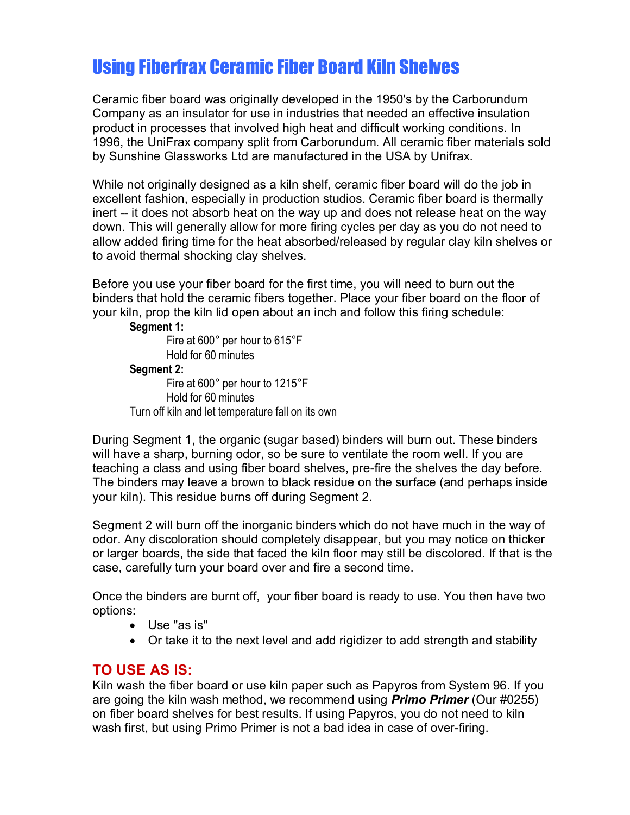# Using Fiberfrax Ceramic Fiber Board Kiln Shelves

Ceramic fiber board was originally developed in the 1950's by the Carborundum Company as an insulator for use in industries that needed an effective insulation product in processes that involved high heat and difficult working conditions. In 1996, the UniFrax company split from Carborundum. All ceramic fiber materials sold by Sunshine Glassworks Ltd are manufactured in the USA by Unifrax.

While not originally designed as a kiln shelf, ceramic fiber board will do the job in excellent fashion, especially in production studios. Ceramic fiber board is thermally inert -- it does not absorb heat on the way up and does not release heat on the way down. This will generally allow for more firing cycles per day as you do not need to allow added firing time for the heat absorbed/released by regular clay kiln shelves or to avoid thermal shocking clay shelves.

Before you use your fiber board for the first time, you will need to burn out the binders that hold the ceramic fibers together. Place your fiber board on the floor of your kiln, prop the kiln lid open about an inch and follow this firing schedule:

### **Segment 1:**

 Fire at 600° per hour to 615°F Hold for 60 minutes **Segment 2:**  Fire at 600° per hour to 1215°F Hold for 60 minutes Turn off kiln and let temperature fall on its own

During Segment 1, the organic (sugar based) binders will burn out. These binders will have a sharp, burning odor, so be sure to ventilate the room well. If you are teaching a class and using fiber board shelves, pre-fire the shelves the day before. The binders may leave a brown to black residue on the surface (and perhaps inside your kiln). This residue burns off during Segment 2.

Segment 2 will burn off the inorganic binders which do not have much in the way of odor. Any discoloration should completely disappear, but you may notice on thicker or larger boards, the side that faced the kiln floor may still be discolored. If that is the case, carefully turn your board over and fire a second time.

Once the binders are burnt off, your fiber board is ready to use. You then have two options:

- Use "as is"
- Or take it to the next level and add rigidizer to add strength and stability

## **TO USE AS IS:**

Kiln wash the fiber board or use kiln paper such as Papyros from System 96. If you are going the kiln wash method, we recommend using *Primo Primer* (Our #0255) on fiber board shelves for best results. If using Papyros, you do not need to kiln wash first, but using Primo Primer is not a bad idea in case of over-firing.